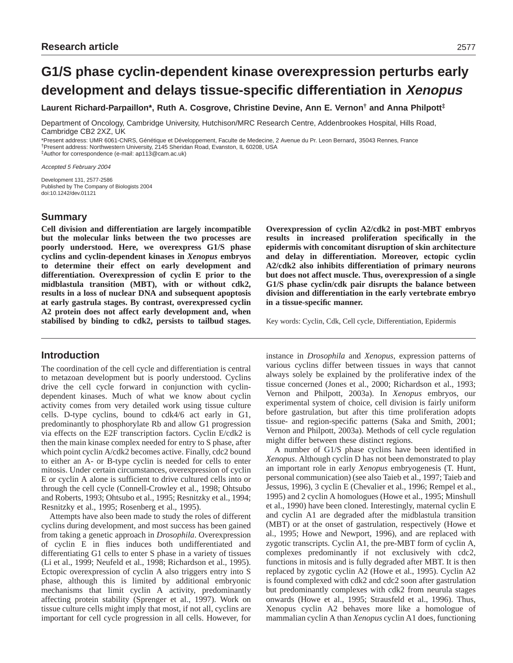**Laurent Richard-Parpaillon\*, Ruth A. Cosgrove, Christine Devine, Ann E. Vernon† and Anna Philpott‡**

Department of Oncology, Cambridge University, Hutchison/MRC Research Centre, Addenbrookes Hospital, Hills Road, Cambridge CB2 2XZ, UK

\*Present address: UMR 6061-CNRS, Génétique et Développement, Faculte de Medecine, 2 Avenue du Pr. Leon Bernard, 35043 Rennes, France †Present address: Northwestern University, 2145 Sheridan Road, Evanston, IL 60208, USA

‡Author for correspondence (e-mail: ap113@cam.ac.uk)

Accepted 5 February 2004

Development 131, 2577-2586 Published by The Company of Biologists 2004 doi:10.1242/dev.01121

# **Summary**

**Cell division and differentiation are largely incompatible but the molecular links between the two processes are poorly understood. Here, we overexpress G1/S phase cyclins and cyclin-dependent kinases in** *Xenopus* **embryos to determine their effect on early development and differentiation. Overexpression of cyclin E prior to the midblastula transition (MBT), with or without cdk2, results in a loss of nuclear DNA and subsequent apoptosis at early gastrula stages. By contrast, overexpressed cyclin A2 protein does not affect early development and, when stabilised by binding to cdk2, persists to tailbud stages.**

# **Introduction**

The coordination of the cell cycle and differentiation is central to metazoan development but is poorly understood. Cyclins drive the cell cycle forward in conjunction with cyclindependent kinases. Much of what we know about cyclin activity comes from very detailed work using tissue culture cells. D-type cyclins, bound to cdk4/6 act early in G1, predominantly to phosphorylate Rb and allow G1 progression via effects on the E2F transcription factors. Cyclin E/cdk2 is then the main kinase complex needed for entry to S phase, after which point cyclin A/cdk2 becomes active. Finally, cdc2 bound to either an A- or B-type cyclin is needed for cells to enter mitosis. Under certain circumstances, overexpression of cyclin E or cyclin A alone is sufficient to drive cultured cells into or through the cell cycle (Connell-Crowley et al., 1998; Ohtsubo and Roberts, 1993; Ohtsubo et al., 1995; Resnitzky et al., 1994; Resnitzky et al., 1995; Rosenberg et al., 1995).

Attempts have also been made to study the roles of different cyclins during development, and most success has been gained from taking a genetic approach in *Drosophila*. Overexpression of cyclin E in flies induces both undifferentiated and differentiating G1 cells to enter S phase in a variety of tissues (Li et al., 1999; Neufeld et al., 1998; Richardson et al., 1995). Ectopic overexpression of cyclin A also triggers entry into S phase, although this is limited by additional embryonic mechanisms that limit cyclin A activity, predominantly affecting protein stability (Sprenger et al., 1997). Work on tissue culture cells might imply that most, if not all, cyclins are important for cell cycle progression in all cells. However, for **Overexpression of cyclin A2/cdk2 in post-MBT embryos results in increased proliferation specifically in the epidermis with concomitant disruption of skin architecture and delay in differentiation. Moreover, ectopic cyclin A2/cdk2 also inhibits differentiation of primary neurons but does not affect muscle. Thus, overexpression of a single G1/S phase cyclin/cdk pair disrupts the balance between division and differentiation in the early vertebrate embryo in a tissue-specific manner.**

Key words: Cyclin, Cdk, Cell cycle, Differentiation, Epidermis

instance in *Drosophila* and *Xenopus*, expression patterns of various cyclins differ between tissues in ways that cannot always solely be explained by the proliferative index of the tissue concerned (Jones et al., 2000; Richardson et al., 1993; Vernon and Philpott, 2003a). In *Xenopus* embryos, our experimental system of choice, cell division is fairly uniform before gastrulation, but after this time proliferation adopts tissue- and region-specific patterns (Saka and Smith, 2001; Vernon and Philpott, 2003a). Methods of cell cycle regulation might differ between these distinct regions.

A number of G1/S phase cyclins have been identified in *Xenopus*. Although cyclin D has not been demonstrated to play an important role in early *Xenopus* embryogenesis (T. Hunt, personal communication) (see also Taieb et al., 1997; Taieb and Jessus, 1996), 3 cyclin E (Chevalier et al., 1996; Rempel et al., 1995) and 2 cyclin A homologues (Howe et al., 1995; Minshull et al., 1990) have been cloned. Interestingly, maternal cyclin E and cyclin A1 are degraded after the midblastula transition (MBT) or at the onset of gastrulation, respectively (Howe et al., 1995; Howe and Newport, 1996), and are replaced with zygotic transcripts. Cyclin A1, the pre-MBT form of cyclin A, complexes predominantly if not exclusively with cdc2, functions in mitosis and is fully degraded after MBT. It is then replaced by zygotic cyclin A2 (Howe et al., 1995). Cyclin A2 is found complexed with cdk2 and cdc2 soon after gastrulation but predominantly complexes with cdk2 from neurula stages onwards (Howe et al., 1995; Strausfeld et al., 1996). Thus, Xenopus cyclin A2 behaves more like a homologue of mammalian cyclin A than *Xenopus* cyclin A1 does, functioning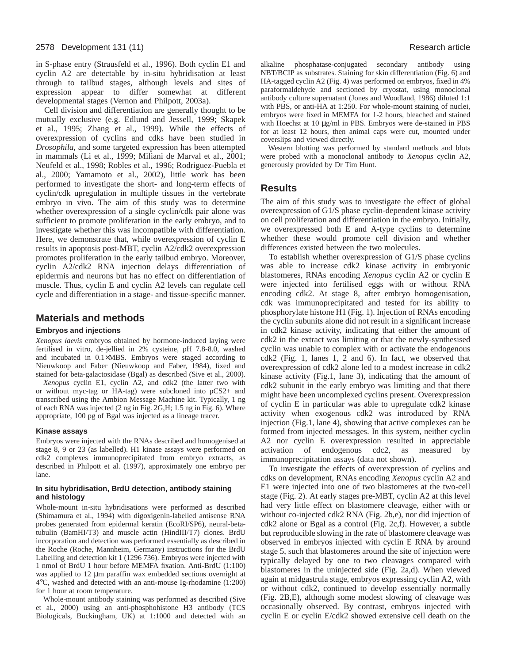in S-phase entry (Strausfeld et al., 1996). Both cyclin E1 and cyclin A2 are detectable by in-situ hybridisation at least through to tailbud stages, although levels and sites of expression appear to differ somewhat at different developmental stages (Vernon and Philpott, 2003a).

Cell division and differentiation are generally thought to be mutually exclusive (e.g. Edlund and Jessell, 1999; Skapek et al., 1995; Zhang et al., 1999). While the effects of overexpression of cyclins and cdks have been studied in *Drosophila*, and some targeted expression has been attempted in mammals (Li et al., 1999; Miliani de Marval et al., 2001; Neufeld et al., 1998; Robles et al., 1996; Rodriguez-Puebla et al., 2000; Yamamoto et al., 2002), little work has been performed to investigate the short- and long-term effects of cyclin/cdk upregulation in multiple tissues in the vertebrate embryo in vivo. The aim of this study was to determine whether overexpression of a single cyclin/cdk pair alone was sufficient to promote proliferation in the early embryo, and to investigate whether this was incompatible with differentiation. Here, we demonstrate that, while overexpression of cyclin E results in apoptosis post-MBT, cyclin A2/cdk2 overexpression promotes proliferation in the early tailbud embryo. Moreover, cyclin A2/cdk2 RNA injection delays differentiation of epidermis and neurons but has no effect on differentiation of muscle. Thus, cyclin E and cyclin A2 levels can regulate cell cycle and differentiation in a stage- and tissue-specific manner.

## **Materials and methods**

### **Embryos and injections**

*Xenopus laevis* embryos obtained by hormone-induced laying were fertilised in vitro, de-jellied in 2% cysteine, pH 7.8-8.0, washed and incubated in 0.1×MBS. Embryos were staged according to Nieuwkoop and Faber (Nieuwkoop and Faber, 1984), fixed and stained for beta-galactosidase (Bgal) as described (Sive et al., 2000).

*Xenopus* cyclin E1, cyclin A2, and cdk2 (the latter two with or without myc-tag or HA-tag) were subcloned into pCS2+ and transcribed using the Ambion Message Machine kit. Typically, 1 ng of each RNA was injected (2 ng in Fig. 2G,H; 1.5 ng in Fig. 6). Where appropriate, 100 pg of Bgal was injected as a lineage tracer.

#### **Kinase assays**

Embryos were injected with the RNAs described and homogenised at stage 8, 9 or 23 (as labelled). H1 kinase assays were performed on cdk2 complexes immunoprecipitated from embryo extracts, as described in Philpott et al. (1997), approximately one embryo per lane.

## **In situ hybridisation, BrdU detection, antibody staining and histology**

Whole-mount in-situ hybridisations were performed as described (Shimamura et al., 1994) with digoxigenin-labelled antisense RNA probes generated from epidermal keratin (EcoRI/SP6), neural-betatubulin (BamHI/T3) and muscle actin (HindIII/T7) clones. BrdU incorporation and detection was performed essentially as described in the Roche (Roche, Mannheim, Germany) instructions for the BrdU Labelling and detection kit 1 (1296 736). Embryos were injected with 1 nmol of BrdU 1 hour before MEMFA fixation. Anti-BrdU (1:100) was applied to 12  $\mu$ m paraffin wax embedded sections overnight at 4°C, washed and detected with an anti-mouse Ig-rhodamine (1:200) for 1 hour at room temperature.

Whole-mount antibody staining was performed as described (Sive et al., 2000) using an anti-phosphohistone H3 antibody (TCS Biologicals, Buckingham, UK) at 1:1000 and detected with an

alkaline phosphatase-conjugated secondary antibody using NBT/BCIP as substrates. Staining for skin differentiation (Fig. 6) and HA-tagged cyclin A2 (Fig. 4) was performed on embryos, fixed in 4% paraformaldehyde and sectioned by cryostat, using monoclonal antibody culture supernatant (Jones and Woodland, 1986) diluted 1:1 with PBS, or anti-HA at 1:250. For whole-mount staining of nuclei, embryos were fixed in MEMFA for 1-2 hours, bleached and stained with Hoechst at 10 µg/ml in PBS. Embryos were de-stained in PBS for at least 12 hours, then animal caps were cut, mounted under coverslips and viewed directly.

Western blotting was performed by standard methods and blots were probed with a monoclonal antibody to *Xenopus* cyclin A2, generously provided by Dr Tim Hunt.

## **Results**

The aim of this study was to investigate the effect of global overexpression of G1/S phase cyclin-dependent kinase activity on cell proliferation and differentiation in the embryo. Initially, we overexpressed both E and A-type cyclins to determine whether these would promote cell division and whether differences existed between the two molecules.

To establish whether overexpression of G1/S phase cyclins was able to increase cdk2 kinase activity in embryonic blastomeres, RNAs encoding *Xenopus* cyclin A2 or cyclin E were injected into fertilised eggs with or without RNA encoding cdk2. At stage 8, after embryo homogenisation, cdk was immunoprecipitated and tested for its ability to phosphorylate histone H1 (Fig. 1). Injection of RNAs encoding the cyclin subunits alone did not result in a significant increase in cdk2 kinase activity, indicating that either the amount of cdk2 in the extract was limiting or that the newly-synthesised cyclin was unable to complex with or activate the endogenous cdk2 (Fig. 1, lanes 1, 2 and 6). In fact, we observed that overexpression of cdk2 alone led to a modest increase in cdk2 kinase activity (Fig.1, lane 3), indicating that the amount of cdk2 subunit in the early embryo was limiting and that there might have been uncomplexed cyclins present. Overexpression of cyclin E in particular was able to upregulate cdk2 kinase activity when exogenous cdk2 was introduced by RNA injection (Fig.1, lane 4), showing that active complexes can be formed from injected messages. In this system, neither cyclin A2 nor cyclin E overexpression resulted in appreciable activation of endogenous cdc2, as measured by immunoprecipitation assays (data not shown).

To investigate the effects of overexpression of cyclins and cdks on development, RNAs encoding *Xenopus* cyclin A2 and E1 were injected into one of two blastomeres at the two-cell stage (Fig. 2). At early stages pre-MBT, cyclin A2 at this level had very little effect on blastomere cleavage, either with or without co-injected cdk2 RNA (Fig. 2b,e), nor did injection of cdk2 alone or Bgal as a control (Fig. 2c,f). However, a subtle but reproducible slowing in the rate of blastomere cleavage was observed in embryos injected with cyclin E RNA by around stage 5, such that blastomeres around the site of injection were typically delayed by one to two cleavages compared with blastomeres in the uninjected side (Fig. 2a,d). When viewed again at midgastrula stage, embryos expressing cyclin A2, with or without cdk2, continued to develop essentially normally (Fig. 2B,E), although some modest slowing of cleavage was occasionally observed. By contrast, embryos injected with cyclin E or cyclin E/cdk2 showed extensive cell death on the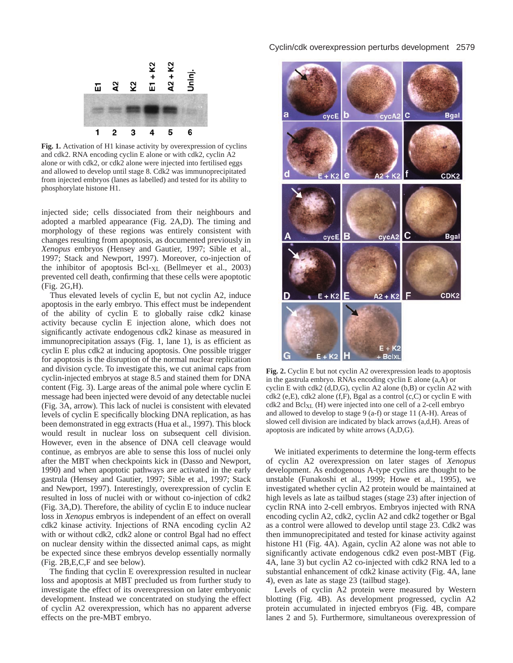

**Fig. 1.** Activation of H1 kinase activity by overexpression of cyclins and cdk2. RNA encoding cyclin E alone or with cdk2, cyclin A2 alone or with cdk2, or cdk2 alone were injected into fertilised eggs and allowed to develop until stage 8. Cdk2 was immunoprecipitated from injected embryos (lanes as labelled) and tested for its ability to phosphorylate histone H1.

injected side; cells dissociated from their neighbours and adopted a marbled appearance (Fig. 2A,D). The timing and morphology of these regions was entirely consistent with changes resulting from apoptosis, as documented previously in *Xenopus* embryos (Hensey and Gautier, 1997; Sible et al., 1997; Stack and Newport, 1997). Moreover, co-injection of the inhibitor of apoptosis Bcl-XL (Bellmeyer et al., 2003) prevented cell death, confirming that these cells were apoptotic (Fig. 2G,H).

Thus elevated levels of cyclin E, but not cyclin A2, induce apoptosis in the early embryo. This effect must be independent of the ability of cyclin E to globally raise cdk2 kinase activity because cyclin E injection alone, which does not significantly activate endogenous cdk2 kinase as measured in immunoprecipitation assays (Fig. 1, lane 1), is as efficient as cyclin E plus cdk2 at inducing apoptosis. One possible trigger for apoptosis is the disruption of the normal nuclear replication and division cycle. To investigate this, we cut animal caps from cyclin-injected embryos at stage 8.5 and stained them for DNA content (Fig. 3). Large areas of the animal pole where cyclin E message had been injected were devoid of any detectable nuclei (Fig. 3A, arrow). This lack of nuclei is consistent with elevated levels of cyclin E specifically blocking DNA replication, as has been demonstrated in egg extracts (Hua et al., 1997). This block would result in nuclear loss on subsequent cell division. However, even in the absence of DNA cell cleavage would continue, as embryos are able to sense this loss of nuclei only after the MBT when checkpoints kick in (Dasso and Newport, 1990) and when apoptotic pathways are activated in the early gastrula (Hensey and Gautier, 1997; Sible et al., 1997; Stack and Newport, 1997). Interestingly, overexpression of cyclin E resulted in loss of nuclei with or without co-injection of cdk2 (Fig. 3A,D). Therefore, the ability of cyclin E to induce nuclear loss in *Xenopus* embryos is independent of an effect on overall cdk2 kinase activity. Injections of RNA encoding cyclin A2 with or without cdk2, cdk2 alone or control Bgal had no effect on nuclear density within the dissected animal caps, as might be expected since these embryos develop essentially normally (Fig. 2B,E,C,F and see below).

The finding that cyclin E overexpression resulted in nuclear loss and apoptosis at MBT precluded us from further study to investigate the effect of its overexpression on later embryonic development. Instead we concentrated on studying the effect of cyclin A2 overexpression, which has no apparent adverse effects on the pre-MBT embryo.



**Fig. 2.** Cyclin E but not cyclin A2 overexpression leads to apoptosis in the gastrula embryo. RNAs encoding cyclin E alone (a,A) or cyclin E with cdk2 (d,D,G), cyclin A2 alone (b,B) or cyclin A2 with cdk2 (e,E), cdk2 alone (f,F), Bgal as a control (c,C) or cyclin E with cdk2 and BclXL (H) were injected into one cell of a 2-cell embryo and allowed to develop to stage 9 (a-f) or stage 11 (A-H). Areas of slowed cell division are indicated by black arrows (a,d,H). Areas of apoptosis are indicated by white arrows (A,D,G).

We initiated experiments to determine the long-term effects of cyclin A2 overexpression on later stages of *Xenopus* development. As endogenous A-type cyclins are thought to be unstable (Funakoshi et al., 1999; Howe et al., 1995), we investigated whether cyclin A2 protein would be maintained at high levels as late as tailbud stages (stage 23) after injection of cyclin RNA into 2-cell embryos. Embryos injected with RNA encoding cyclin A2, cdk2, cyclin A2 and cdk2 together or Bgal as a control were allowed to develop until stage 23. Cdk2 was then immunoprecipitated and tested for kinase activity against histone H1 (Fig. 4A). Again, cyclin A2 alone was not able to significantly activate endogenous cdk2 even post-MBT (Fig. 4A, lane 3) but cyclin A2 co-injected with cdk2 RNA led to a substantial enhancement of cdk2 kinase activity (Fig. 4A, lane 4), even as late as stage 23 (tailbud stage).

Levels of cyclin A2 protein were measured by Western blotting (Fig. 4B). As development progressed, cyclin A2 protein accumulated in injected embryos (Fig. 4B, compare lanes 2 and 5). Furthermore, simultaneous overexpression of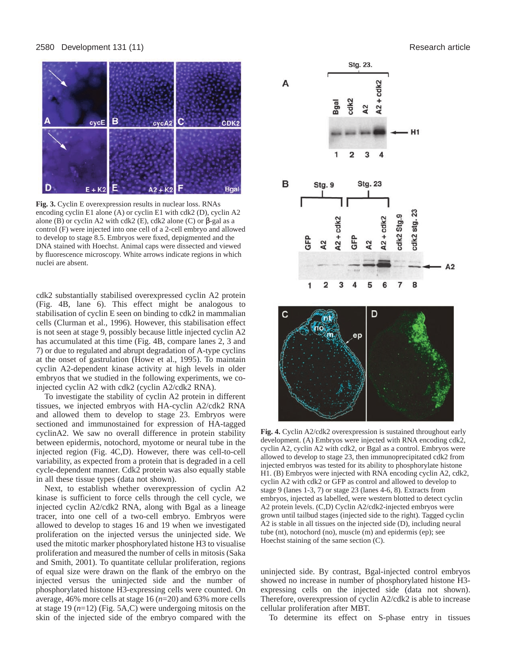### 2580 Development 131 (11) Research article



**Fig. 3.** Cyclin E overexpression results in nuclear loss. RNAs encoding cyclin E1 alone (A) or cyclin E1 with cdk2 (D), cyclin A2 alone (B) or cyclin A2 with cdk2 (E), cdk2 alone (C) or  $\beta$ -gal as a control (F) were injected into one cell of a 2-cell embryo and allowed to develop to stage 8.5. Embryos were fixed, depigmented and the DNA stained with Hoechst. Animal caps were dissected and viewed by fluorescence microscopy. White arrows indicate regions in which nuclei are absent.

cdk2 substantially stabilised overexpressed cyclin A2 protein (Fig. 4B, lane 6). This effect might be analogous to stabilisation of cyclin E seen on binding to cdk2 in mammalian cells (Clurman et al., 1996). However, this stabilisation effect is not seen at stage 9, possibly because little injected cyclin A2 has accumulated at this time (Fig. 4B, compare lanes 2, 3 and 7) or due to regulated and abrupt degradation of A-type cyclins at the onset of gastrulation (Howe et al., 1995). To maintain cyclin A2-dependent kinase activity at high levels in older embryos that we studied in the following experiments, we coinjected cyclin A2 with cdk2 (cyclin A2/cdk2 RNA).

To investigate the stability of cyclin A2 protein in different tissues, we injected embryos with HA-cyclin A2/cdk2 RNA and allowed them to develop to stage 23. Embryos were sectioned and immunostained for expression of HA-tagged cyclinA2. We saw no overall difference in protein stability between epidermis, notochord, myotome or neural tube in the injected region (Fig. 4C,D). However, there was cell-to-cell variability, as expected from a protein that is degraded in a cell cycle-dependent manner. Cdk2 protein was also equally stable in all these tissue types (data not shown).

Next, to establish whether overexpression of cyclin A2 kinase is sufficient to force cells through the cell cycle, we injected cyclin A2/cdk2 RNA, along with Bgal as a lineage tracer, into one cell of a two-cell embryo. Embryos were allowed to develop to stages 16 and 19 when we investigated proliferation on the injected versus the uninjected side. We used the mitotic marker phosphorylated histone H3 to visualise proliferation and measured the number of cells in mitosis (Saka and Smith, 2001). To quantitate cellular proliferation, regions of equal size were drawn on the flank of the embryo on the injected versus the uninjected side and the number of phosphorylated histone H3-expressing cells were counted. On average, 46% more cells at stage 16 (*n*=20) and 63% more cells at stage 19 (*n*=12) (Fig. 5A,C) were undergoing mitosis on the skin of the injected side of the embryo compared with the

Stg. 23. cdk2 A cdk2 gal  $\overline{a}$  $A<sub>2</sub>$  $H1$  $\overline{2}$ 3 4 B **Stg. 23** Stg. 9 ఇ cdk2 Stg.9 cdk2  $2 + \text{cdk}$ cdk2 stg.  $A2 +$  $A<sub>2</sub>$  $A2$ 1  $\overline{2}$ 3 5 7 8 Ć D nt пo ep

**Fig. 4.** Cyclin A2/cdk2 overexpression is sustained throughout early development. (A) Embryos were injected with RNA encoding cdk2, cyclin A2, cyclin A2 with cdk2, or Bgal as a control. Embryos were allowed to develop to stage 23, then immunoprecipitated cdk2 from injected embryos was tested for its ability to phosphorylate histone H1. (B) Embryos were injected with RNA encoding cyclin A2, cdk2, cyclin A2 with cdk2 or GFP as control and allowed to develop to stage 9 (lanes 1-3, 7) or stage 23 (lanes 4-6, 8). Extracts from embryos, injected as labelled, were western blotted to detect cyclin A2 protein levels. (C,D) Cyclin A2/cdk2-injected embryos were grown until tailbud stages (injected side to the right). Tagged cyclin A2 is stable in all tissues on the injected side (D), including neural tube (nt), notochord (no), muscle (m) and epidermis (ep); see Hoechst staining of the same section (C).

uninjected side. By contrast, Bgal-injected control embryos showed no increase in number of phosphorylated histone H3 expressing cells on the injected side (data not shown). Therefore, overexpression of cyclin A2/cdk2 is able to increase cellular proliferation after MBT.

To determine its effect on S-phase entry in tissues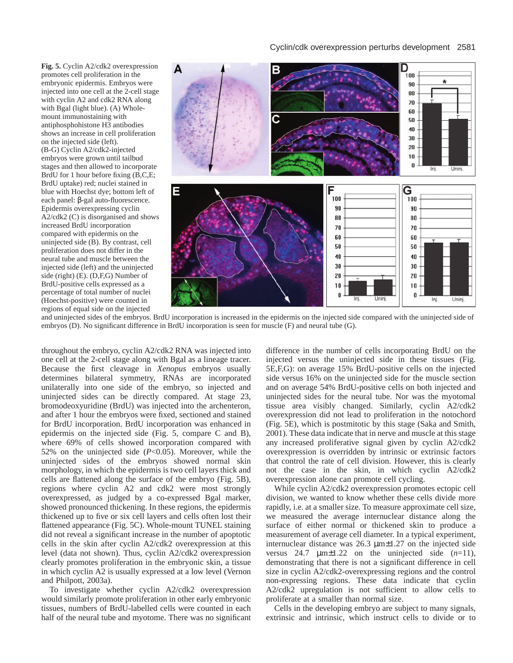**Fig. 5.** Cyclin A2/cdk2 overexpression promotes cell proliferation in the embryonic epidermis. Embryos were injected into one cell at the 2-cell stage with cyclin A2 and cdk2 RNA along with Bgal (light blue). (A) Wholemount immunostaining with antiphosphohistone H3 antibodies shows an increase in cell proliferation on the injected side (left). (B-G) Cyclin A2/cdk2-injected embryos were grown until tailbud stages and then allowed to incorporate BrdU for 1 hour before fixing (B,C,E; BrdU uptake) red; nuclei stained in blue with Hoechst dye; bottom left of each panel: β-gal auto-fluorescence. Epidermis overexpressing cyclin A2/cdk2 (C) is disorganised and shows increased BrdU incorporation compared with epidermis on the uninjected side (B). By contrast, cell proliferation does not differ in the neural tube and muscle between the injected side (left) and the uninjected side (right) (E). (D,F,G) Number of BrdU-positive cells expressed as a percentage of total number of nuclei (Hoechst-positive) were counted in regions of equal side on the injected



and uninjected sides of the embryos. BrdU incorporation is increased in the epidermis on the injected side compared with the uninjected side of embryos (D). No significant difference in BrdU incorporation is seen for muscle (F) and neural tube (G).

throughout the embryo, cyclin A2/cdk2 RNA was injected into one cell at the 2-cell stage along with Bgal as a lineage tracer. Because the first cleavage in *Xenopus* embryos usually determines bilateral symmetry, RNAs are incorporated unilaterally into one side of the embryo, so injected and uninjected sides can be directly compared. At stage 23, bromodeoxyuridine (BrdU) was injected into the archenteron, and after 1 hour the embryos were fixed, sectioned and stained for BrdU incorporation. BrdU incorporation was enhanced in epidermis on the injected side (Fig. 5, compare C and B), where 69% of cells showed incorporation compared with 52% on the uninjected side (*P*<0.05). Moreover, while the uninjected sides of the embryos showed normal skin morphology, in which the epidermis is two cell layers thick and cells are flattened along the surface of the embryo (Fig. 5B), regions where cyclin A2 and cdk2 were most strongly overexpressed, as judged by a co-expressed Bgal marker, showed pronounced thickening. In these regions, the epidermis thickened up to five or six cell layers and cells often lost their flattened appearance (Fig. 5C). Whole-mount TUNEL staining did not reveal a significant increase in the number of apoptotic cells in the skin after cyclin A2/cdk2 overexpression at this level (data not shown). Thus, cyclin A2/cdk2 overexpression clearly promotes proliferation in the embryonic skin, a tissue in which cyclin A2 is usually expressed at a low level (Vernon and Philpott, 2003a).

To investigate whether cyclin A2/cdk2 overexpression would similarly promote proliferation in other early embryonic tissues, numbers of BrdU-labelled cells were counted in each half of the neural tube and myotome. There was no significant

difference in the number of cells incorporating BrdU on the injected versus the uninjected side in these tissues (Fig. 5E,F,G): on average 15% BrdU-positive cells on the injected side versus 16% on the uninjected side for the muscle section and on average 54% BrdU-positive cells on both injected and uninjected sides for the neural tube. Nor was the myotomal tissue area visibly changed. Similarly, cyclin A2/cdk2 overexpression did not lead to proliferation in the notochord (Fig. 5E), which is postmitotic by this stage (Saka and Smith, 2001). These data indicate that in nerve and muscle at this stage any increased proliferative signal given by cyclin A2/cdk2 overexpression is overridden by intrinsic or extrinsic factors that control the rate of cell division. However, this is clearly not the case in the skin, in which cyclin A2/cdk2 overexpression alone can promote cell cycling.

While cyclin A2/cdk2 overexpression promotes ectopic cell division, we wanted to know whether these cells divide more rapidly, i.e. at a smaller size. To measure approximate cell size, we measured the average internuclear distance along the surface of either normal or thickened skin to produce a measurement of average cell diameter. In a typical experiment, internuclear distance was 26.3 µm±1.27 on the injected side versus 24.7  $\mu$ m $\pm$ 1.22 on the uninjected side  $(n=11)$ , demonstrating that there is not a significant difference in cell size in cyclin A2/cdk2-overexpressing regions and the control non-expressing regions. These data indicate that cyclin A2/cdk2 upregulation is not sufficient to allow cells to proliferate at a smaller than normal size.

Cells in the developing embryo are subject to many signals, extrinsic and intrinsic, which instruct cells to divide or to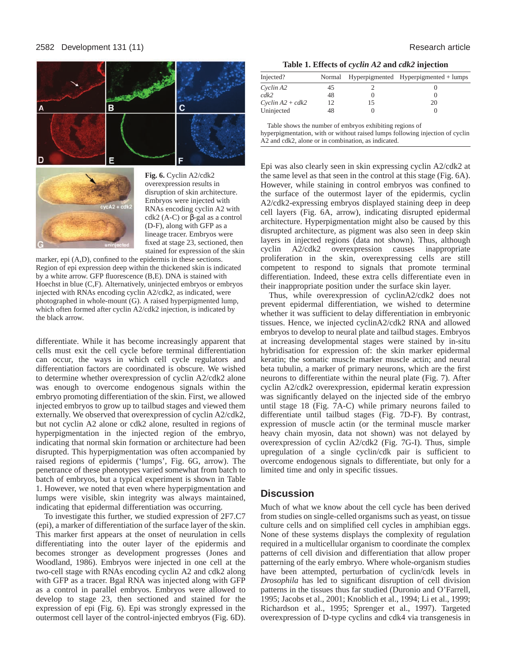



**Fig. 6.** Cyclin A2/cdk2 overexpression results in disruption of skin architecture. Embryos were injected with RNAs encoding cyclin A2 with cdk2 (A-C) or  $\beta$ -gal as a control (D-F), along with GFP as a lineage tracer. Embryos were fixed at stage 23, sectioned, then stained for expression of the skin

marker, epi (A,D), confined to the epidermis in these sections. Region of epi expression deep within the thickened skin is indicated by a white arrow. GFP fluorescence (B,E). DNA is stained with Hoechst in blue (C,F). Alternatively, uninjected embryos or embryos injected with RNAs encoding cyclin A2/cdk2, as indicated, were photographed in whole-mount (G). A raised hyperpigmented lump, which often formed after cyclin A2/cdk2 injection, is indicated by the black arrow.

differentiate. While it has become increasingly apparent that cells must exit the cell cycle before terminal differentiation can occur, the ways in which cell cycle regulators and differentiation factors are coordinated is obscure. We wished to determine whether overexpression of cyclin A2/cdk2 alone was enough to overcome endogenous signals within the embryo promoting differentiation of the skin. First, we allowed injected embryos to grow up to tailbud stages and viewed them externally. We observed that overexpression of cyclin A2/cdk2, but not cyclin A2 alone or cdk2 alone, resulted in regions of hyperpigmentation in the injected region of the embryo, indicating that normal skin formation or architecture had been disrupted. This hyperpigmentation was often accompanied by raised regions of epidermis ('lumps', Fig. 6G, arrow). The penetrance of these phenotypes varied somewhat from batch to batch of embryos, but a typical experiment is shown in Table 1. However, we noted that even where hyperpigmentation and lumps were visible, skin integrity was always maintained, indicating that epidermal differentiation was occurring.

To investigate this further, we studied expression of 2F7.C7 (epi), a marker of differentiation of the surface layer of the skin. This marker first appears at the onset of neurulation in cells differentiating into the outer layer of the epidermis and becomes stronger as development progresses (Jones and Woodland, 1986). Embryos were injected in one cell at the two-cell stage with RNAs encoding cyclin A2 and cdk2 along with GFP as a tracer. Bgal RNA was injected along with GFP as a control in parallel embryos. Embryos were allowed to develop to stage 23, then sectioned and stained for the expression of epi (Fig. 6). Epi was strongly expressed in the outermost cell layer of the control-injected embryos (Fig. 6D).

|  |  |  | Table 1. Effects of cyclin A2 and cdk2 injection |
|--|--|--|--------------------------------------------------|
|  |  |  |                                                  |

| Injected?          |    | Normal Hyperpigmented Hyperpigmented + lumps |
|--------------------|----|----------------------------------------------|
| Cyclin A2          | 45 |                                              |
| cdk2               | 48 |                                              |
| $Cyclin A2 + cdk2$ | 12 | 20                                           |
| Uninjected         | 48 |                                              |

Table shows the number of embryos exhibiting regions of hyperpigmentation, with or without raised lumps following injection of cyclin A2 and cdk2, alone or in combination, as indicated.

Epi was also clearly seen in skin expressing cyclin A2/cdk2 at the same level as that seen in the control at this stage (Fig. 6A). However, while staining in control embryos was confined to the surface of the outermost layer of the epidermis, cyclin A2/cdk2-expressing embryos displayed staining deep in deep cell layers (Fig. 6A, arrow), indicating disrupted epidermal architecture. Hyperpigmentation might also be caused by this disrupted architecture, as pigment was also seen in deep skin layers in injected regions (data not shown). Thus, although cyclin A2/cdk2 overexpression causes inappropriate proliferation in the skin, overexpressing cells are still competent to respond to signals that promote terminal

differentiation. Indeed, these extra cells differentiate even in

their inappropriate position under the surface skin layer. Thus, while overexpression of cyclinA2/cdk2 does not prevent epidermal differentiation, we wished to determine whether it was sufficient to delay differentiation in embryonic tissues. Hence, we injected cyclinA2/cdk2 RNA and allowed embryos to develop to neural plate and tailbud stages. Embryos at increasing developmental stages were stained by in-situ hybridisation for expression of: the skin marker epidermal keratin; the somatic muscle marker muscle actin; and neural beta tubulin, a marker of primary neurons, which are the first neurons to differentiate within the neural plate (Fig. 7). After cyclin A2/cdk2 overexpression, epidermal keratin expression was significantly delayed on the injected side of the embryo until stage 18 (Fig. 7A-C) while primary neurons failed to differentiate until tailbud stages (Fig. 7D-F). By contrast, expression of muscle actin (or the terminal muscle marker heavy chain myosin, data not shown) was not delayed by overexpression of cyclin A2/cdk2 (Fig. 7G-I). Thus, simple upregulation of a single cyclin/cdk pair is sufficient to overcome endogenous signals to differentiate, but only for a limited time and only in specific tissues.

# **Discussion**

Much of what we know about the cell cycle has been derived from studies on single-celled organisms such as yeast, on tissue culture cells and on simplified cell cycles in amphibian eggs. None of these systems displays the complexity of regulation required in a multicellular organism to coordinate the complex patterns of cell division and differentiation that allow proper patterning of the early embryo. Where whole-organism studies have been attempted, perturbation of cyclin/cdk levels in *Drosophila* has led to significant disruption of cell division patterns in the tissues thus far studied (Duronio and O'Farrell, 1995; Jacobs et al., 2001; Knoblich et al., 1994; Li et al., 1999; Richardson et al., 1995; Sprenger et al., 1997). Targeted overexpression of D-type cyclins and cdk4 via transgenesis in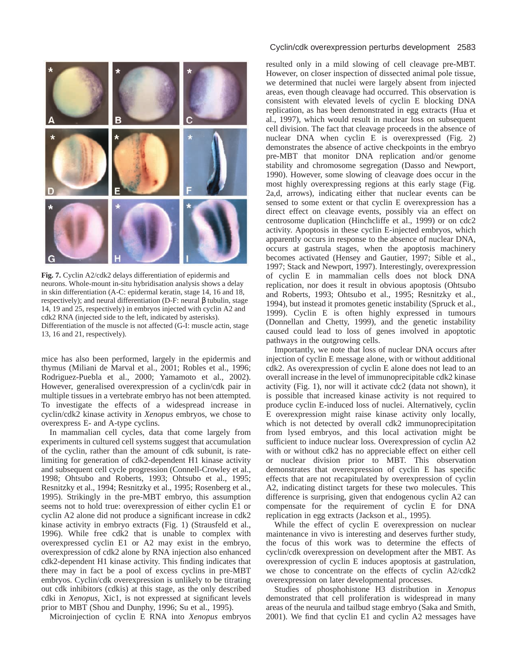

**Fig. 7.** Cyclin A2/cdk2 delays differentiation of epidermis and neurons. Whole-mount in-situ hybridisation analysis shows a delay in skin differentiation (A-C: epidermal keratin, stage 14, 16 and 18, respectively); and neural differentiation (D-F: neural β tubulin, stage 14, 19 and 25, respectively) in embryos injected with cyclin A2 and cdk2 RNA (injected side to the left, indicated by asterisks). Differentiation of the muscle is not affected (G-I: muscle actin, stage 13, 16 and 21, respectively).

mice has also been performed, largely in the epidermis and thymus (Miliani de Marval et al., 2001; Robles et al., 1996; Rodriguez-Puebla et al., 2000; Yamamoto et al., 2002). However, generalised overexpression of a cyclin/cdk pair in multiple tissues in a vertebrate embryo has not been attempted. To investigate the effects of a widespread increase in cyclin/cdk2 kinase activity in *Xenopus* embryos, we chose to overexpress E- and A-type cyclins.

In mammalian cell cycles, data that come largely from experiments in cultured cell systems suggest that accumulation of the cyclin, rather than the amount of cdk subunit, is ratelimiting for generation of cdk2-dependent H1 kinase activity and subsequent cell cycle progression (Connell-Crowley et al., 1998; Ohtsubo and Roberts, 1993; Ohtsubo et al., 1995; Resnitzky et al., 1994; Resnitzky et al., 1995; Rosenberg et al., 1995). Strikingly in the pre-MBT embryo, this assumption seems not to hold true: overexpression of either cyclin E1 or cyclin A2 alone did not produce a significant increase in cdk2 kinase activity in embryo extracts (Fig. 1) (Strausfeld et al., 1996). While free cdk2 that is unable to complex with overexpressed cyclin E1 or A2 may exist in the embryo, overexpression of cdk2 alone by RNA injection also enhanced cdk2-dependent H1 kinase activity. This finding indicates that there may in fact be a pool of excess cyclins in pre-MBT embryos. Cyclin/cdk overexpression is unlikely to be titrating out cdk inhibitors (cdkis) at this stage, as the only described cdki in *Xenopus*, Xic1, is not expressed at significant levels prior to MBT (Shou and Dunphy, 1996; Su et al., 1995).

Microinjection of cyclin E RNA into *Xenopus* embryos

### Cyclin/cdk overexpression perturbs development 2583

resulted only in a mild slowing of cell cleavage pre-MBT. However, on closer inspection of dissected animal pole tissue, we determined that nuclei were largely absent from injected areas, even though cleavage had occurred. This observation is consistent with elevated levels of cyclin E blocking DNA replication, as has been demonstrated in egg extracts (Hua et al., 1997), which would result in nuclear loss on subsequent cell division. The fact that cleavage proceeds in the absence of nuclear DNA when cyclin E is overexpressed (Fig. 2) demonstrates the absence of active checkpoints in the embryo pre-MBT that monitor DNA replication and/or genome stability and chromosome segregation (Dasso and Newport, 1990). However, some slowing of cleavage does occur in the most highly overexpressing regions at this early stage (Fig. 2a,d, arrows), indicating either that nuclear events can be sensed to some extent or that cyclin E overexpression has a direct effect on cleavage events, possibly via an effect on centrosome duplication (Hinchcliffe et al., 1999) or on cdc2 activity. Apoptosis in these cyclin E-injected embryos, which apparently occurs in response to the absence of nuclear DNA, occurs at gastrula stages, when the apoptosis machinery becomes activated (Hensey and Gautier, 1997; Sible et al., 1997; Stack and Newport, 1997). Interestingly, overexpression of cyclin E in mammalian cells does not block DNA replication, nor does it result in obvious apoptosis (Ohtsubo and Roberts, 1993; Ohtsubo et al., 1995; Resnitzky et al., 1994), but instead it promotes genetic instability (Spruck et al., 1999). Cyclin E is often highly expressed in tumours (Donnellan and Chetty, 1999), and the genetic instability caused could lead to loss of genes involved in apoptotic pathways in the outgrowing cells.

Importantly, we note that loss of nuclear DNA occurs after injection of cyclin E message alone, with or without additional cdk2. As overexpression of cyclin E alone does not lead to an overall increase in the level of immunoprecipitable cdk2 kinase activity (Fig. 1), nor will it activate cdc2 (data not shown), it is possible that increased kinase activity is not required to produce cyclin E-induced loss of nuclei. Alternatively, cyclin E overexpression might raise kinase activity only locally, which is not detected by overall cdk2 immunoprecipitation from lysed embryos, and this local activation might be sufficient to induce nuclear loss. Overexpression of cyclin A2 with or without cdk2 has no appreciable effect on either cell or nuclear division prior to MBT. This observation demonstrates that overexpression of cyclin E has specific effects that are not recapitulated by overexpression of cyclin A2, indicating distinct targets for these two molecules. This difference is surprising, given that endogenous cyclin A2 can compensate for the requirement of cyclin E for DNA replication in egg extracts (Jackson et al., 1995).

While the effect of cyclin E overexpression on nuclear maintenance in vivo is interesting and deserves further study, the focus of this work was to determine the effects of cyclin/cdk overexpression on development after the MBT. As overexpression of cyclin E induces apoptosis at gastrulation, we chose to concentrate on the effects of cyclin A2/cdk2 overexpression on later developmental processes.

Studies of phosphohistone H3 distribution in *Xenopus* demonstrated that cell proliferation is widespread in many areas of the neurula and tailbud stage embryo (Saka and Smith, 2001). We find that cyclin E1 and cyclin A2 messages have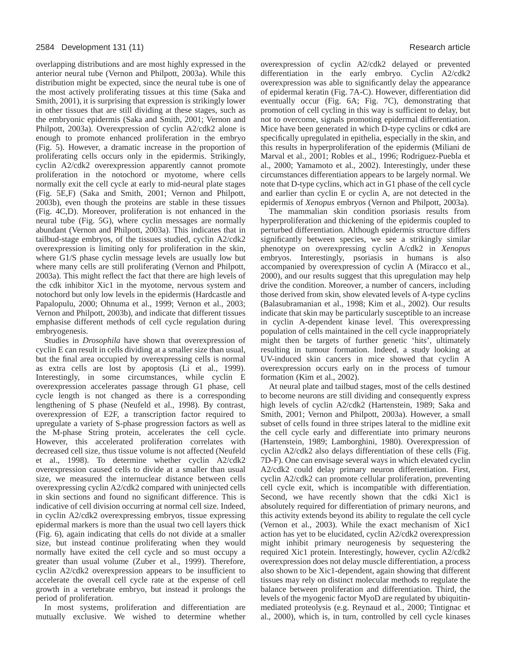overlapping distributions and are most highly expressed in the anterior neural tube (Vernon and Philpott, 2003a). While this distribution might be expected, since the neural tube is one of the most actively proliferating tissues at this time (Saka and Smith, 2001), it is surprising that expression is strikingly lower in other tissues that are still dividing at these stages, such as the embryonic epidermis (Saka and Smith, 2001; Vernon and Philpott, 2003a). Overexpression of cyclin A2/cdk2 alone is enough to promote enhanced proliferation in the embryo (Fig. 5). However, a dramatic increase in the proportion of proliferating cells occurs only in the epidermis. Strikingly, cyclin A2/cdk2 overexpression apparently cannot promote proliferation in the notochord or myotome, where cells normally exit the cell cycle at early to mid-neural plate stages (Fig. 5E,F) (Saka and Smith, 2001; Vernon and Philpott, 2003b), even though the proteins are stable in these tissues (Fig. 4C,D). Moreover, proliferation is not enhanced in the neural tube (Fig. 5G), where cyclin messages are normally abundant (Vernon and Philpott, 2003a). This indicates that in tailbud-stage embryos, of the tissues studied, cyclin A2/cdk2 overexpression is limiting only for proliferation in the skin, where G1/S phase cyclin message levels are usually low but where many cells are still proliferating (Vernon and Philpott, 2003a). This might reflect the fact that there are high levels of the cdk inhibitor Xic1 in the myotome, nervous system and notochord but only low levels in the epidermis (Hardcastle and Papalopulu, 2000; Ohnuma et al., 1999; Vernon et al., 2003; Vernon and Philpott, 2003b), and indicate that different tissues emphasise different methods of cell cycle regulation during embryogenesis.

Studies in *Drosophila* have shown that overexpression of cyclin E can result in cells dividing at a smaller size than usual, but the final area occupied by overexpressing cells is normal as extra cells are lost by apoptosis (Li et al., 1999). Interestingly, in some circumstances, while cyclin E overexpression accelerates passage through G1 phase, cell cycle length is not changed as there is a corresponding lengthening of S phase (Neufeld et al., 1998). By contrast, overexpression of E2F, a transcription factor required to upregulate a variety of S-phase progression factors as well as the M-phase String protein, accelerates the cell cycle. However, this accelerated proliferation correlates with decreased cell size, thus tissue volume is not affected (Neufeld et al., 1998). To determine whether cyclin A2/cdk2 overexpression caused cells to divide at a smaller than usual size, we measured the internuclear distance between cells overexpressing cyclin A2/cdk2 compared with uninjected cells in skin sections and found no significant difference. This is indicative of cell division occurring at normal cell size. Indeed, in cyclin A2/cdk2 overexpressing embryos, tissue expressing epidermal markers is more than the usual two cell layers thick (Fig. 6), again indicating that cells do not divide at a smaller size, but instead continue proliferating when they would normally have exited the cell cycle and so must occupy a greater than usual volume (Zuber et al., 1999). Therefore, cyclin A2/cdk2 overexpression appears to be insufficient to accelerate the overall cell cycle rate at the expense of cell growth in a vertebrate embryo, but instead it prolongs the period of proliferation.

In most systems, proliferation and differentiation are mutually exclusive. We wished to determine whether

overexpression of cyclin A2/cdk2 delayed or prevented differentiation in the early embryo. Cyclin A2/cdk2 overexpression was able to significantly delay the appearance of epidermal keratin (Fig. 7A-C). However, differentiation did eventually occur (Fig. 6A; Fig. 7C), demonstrating that promotion of cell cycling in this way is sufficient to delay, but not to overcome, signals promoting epidermal differentiation. Mice have been generated in which D-type cyclins or cdk4 are specifically upregulated in epithelia, especially in the skin, and this results in hyperproliferation of the epidermis (Miliani de Marval et al., 2001; Robles et al., 1996; Rodriguez-Puebla et al., 2000; Yamamoto et al., 2002). Interestingly, under these circumstances differentiation appears to be largely normal. We note that D-type cyclins, which act in G1 phase of the cell cycle and earlier than cyclin E or cyclin A, are not detected in the epidermis of *Xenopus* embryos (Vernon and Philpott, 2003a).

The mammalian skin condition psoriasis results from hyperproliferation and thickening of the epidermis coupled to perturbed differentiation. Although epidermis structure differs significantly between species, we see a strikingly similar phenotype on overexpressing cyclin A/cdk2 in *Xenopu*s embryos. Interestingly, psoriasis in humans is also accompanied by overexpression of cyclin A (Miracco et al., 2000), and our results suggest that this upregulation may help drive the condition. Moreover, a number of cancers, including those derived from skin, show elevated levels of A-type cyclins (Balasubramanian et al., 1998; Kim et al., 2002). Our results indicate that skin may be particularly susceptible to an increase in cyclin A-dependent kinase level. This overexpressing population of cells maintained in the cell cycle inappropriately might then be targets of further genetic 'hits', ultimately resulting in tumour formation. Indeed, a study looking at UV-induced skin cancers in mice showed that cyclin A overexpression occurs early on in the process of tumour formation (Kim et al., 2002).

At neural plate and tailbud stages, most of the cells destined to become neurons are still dividing and consequently express high levels of cyclin A2/cdk2 (Hartenstein, 1989; Saka and Smith, 2001; Vernon and Philpott, 2003a). However, a small subset of cells found in three stripes lateral to the midline exit the cell cycle early and differentiate into primary neurons (Hartenstein, 1989; Lamborghini, 1980). Overexpression of cyclin A2/cdk2 also delays differentiation of these cells (Fig. 7D-F). One can envisage several ways in which elevated cyclin A2/cdk2 could delay primary neuron differentiation. First, cyclin A2/cdk2 can promote cellular proliferation, preventing cell cycle exit, which is incompatible with differentiation. Second, we have recently shown that the cdki Xic1 is absolutely required for differentiation of primary neurons, and this activity extends beyond its ability to regulate the cell cycle (Vernon et al., 2003). While the exact mechanism of Xic1 action has yet to be elucidated, cyclin A2/cdk2 overexpression might inhibit primary neurogenesis by sequestering the required Xic1 protein. Interestingly, however, cyclin A2/cdk2 overexpression does not delay muscle differentiation, a process also shown to be Xic1-dependent, again showing that different tissues may rely on distinct molecular methods to regulate the balance between proliferation and differentiation. Third, the levels of the myogenic factor MyoD are regulated by ubiquitinmediated proteolysis (e.g. Reynaud et al., 2000; Tintignac et al., 2000), which is, in turn, controlled by cell cycle kinases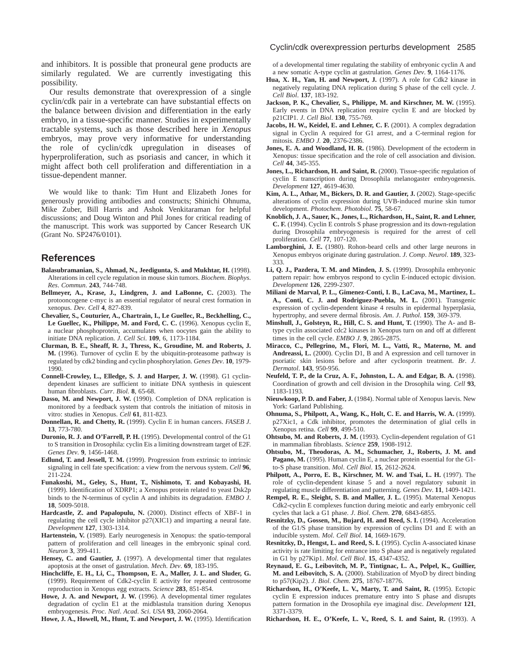and inhibitors. It is possible that proneural gene products are similarly regulated. We are currently investigating this possibility.

Our results demonstrate that overexpression of a single cyclin/cdk pair in a vertebrate can have substantial effects on the balance between division and differentiation in the early embryo, in a tissue-specific manner. Studies in experimentally tractable systems, such as those described here in *Xenopus* embryos, may prove very informative for understanding the role of cyclin/cdk upregulation in diseases of hyperproliferation, such as psoriasis and cancer, in which it might affect both cell proliferation and differentiation in a tissue-dependent manner.

We would like to thank: Tim Hunt and Elizabeth Jones for generously providing antibodies and constructs; Shinichi Ohnuma, Mike Zuber, Bill Harris and Ashok Venkitaraman for helpful discussions; and Doug Winton and Phil Jones for critical reading of the manuscript. This work was supported by Cancer Research UK (Grant No. SP2476/0101).

## **References**

- **Balasubramanian, S., Ahmad, N., Jeedigunta, S. and Mukhtar, H.** (1998). Alterations in cell cycle regulation in mouse skin tumors. *Biochem*. *Biophys*. *Res*. *Commun*. **243**, 744-748.
- **Bellmeyer, A., Krase, J., Lindgren, J. and LaBonne, C.** (2003). The protooncogene c-myc is an essential regulator of neural crest formation in xenopus. *Dev*. *Cell* **4**, 827-839.
- **Chevalier, S., Couturier, A., Chartrain, I., Le Guellec, R., Beckhelling, C., Le Guellec, K., Philippe, M. and Ford, C. C.** (1996). Xenopus cyclin E, a nuclear phosphoprotein, accumulates when oocytes gain the ability to initiate DNA replication. *J*. *Cell Sci*. **109**, 6, 1173-1184.
- **Clurman, B. E., Sheaff, R. J., Thress, K., Groudine, M. and Roberts, J. M.** (1996). Turnover of cyclin E by the ubiquitin-proteasome pathway is regulated by cdk2 binding and cyclin phosphorylation. *Genes Dev*. **10**, 1979- 1990.
- **Connell-Crowley, L., Elledge, S. J. and Harper, J. W.** (1998). G1 cyclindependent kinases are sufficient to initiate DNA synthesis in quiescent human fibroblasts. *Curr*. *Biol*. **8**, 65-68.
- **Dasso, M. and Newport, J. W.** (1990). Completion of DNA replication is monitored by a feedback system that controls the initiation of mitosis in vitro: studies in Xenopus. *Cell* **61**, 811-823.
- **Donnellan, R. and Chetty, R.** (1999). Cyclin E in human cancers. *FASEB J*. **13**, 773-780.
- **Duronio, R. J. and O'Farrell, P. H.** (1995). Developmental control of the G1 to S transition in Drosophila: cyclin Eis a limiting downstream target of E2F. *Genes Dev*. **9**, 1456-1468.
- **Edlund, T. and Jessell, T. M.** (1999). Progression from extrinsic to intrinsic signaling in cell fate specification: a view from the nervous system. *Cell* **96**, 211-224.
- **Funakoshi, M., Geley, S., Hunt, T., Nishimoto, T. and Kobayashi, H.** (1999). Identification of XDRP1; a Xenopus protein related to yeast Dsk2p binds to the N-terminus of cyclin A and inhibits its degradation. *EMBO J*. **18**, 5009-5018.
- **Hardcastle, Z. and Papalopulu, N.** (2000). Distinct effects of XBF-1 in regulating the cell cycle inhibitor p27(XIC1) and imparting a neural fate. *Development* **127**, 1303-1314.
- **Hartenstein, V.** (1989). Early neurogenesis in Xenopus: the spatio-temporal pattern of proliferation and cell lineages in the embryonic spinal cord. *Neuron* **3**, 399-411.
- **Hensey, C. and Gautier, J.** (1997). A developmental timer that regulates apoptosis at the onset of gastrulation. *Mech*. *Dev*. **69**, 183-195.
- **Hinchcliffe, E. H., Li, C., Thompson, E. A., Maller, J. L. and Sluder, G.** (1999). Requirement of Cdk2-cyclin E activity for repeated centrosome reproduction in Xenopus egg extracts. *Science* **283**, 851-854.
- **Howe, J. A. and Newport, J. W.** (1996). A developmental timer regulates degradation of cyclin E1 at the midblastula transition during Xenopus embryogenesis. *Proc*. *Natl*. *Acad*. *Sci*. *USA* **93**, 2060-2064.

Howe, J. A., Howell, M., Hunt, T. and Newport, J. W. (1995). Identification

#### Cyclin/cdk overexpression perturbs development 2585

of a developmental timer regulating the stability of embryonic cyclin A and a new somatic A-type cyclin at gastrulation. *Genes Dev*. **9**, 1164-1176.

- Hua, X. H., Yan, H. and Newport, J. (1997). A role for Cdk2 kinase in negatively regulating DNA replication during S phase of the cell cycle. *J*. *Cell Biol*. **137**, 183-192.
- **Jackson, P. K., Chevalier, S., Philippe, M. and Kirschner, M. W.** (1995). Early events in DNA replication require cyclin E and are blocked by p21CIP1. *J*. *Cell Biol*. **130**, 755-769.
- Jacobs, H. W., Keidel, E. and Lehner, C. F. (2001). A complex degradation signal in Cyclin A required for G1 arrest, and a C-terminal region for mitosis. *EMBO J.* **20**, 2376-2386.
- **Jones, E. A. and Woodland, H. R.** (1986). Development of the ectoderm in Xenopus: tissue specification and the role of cell association and division. *Cell* **44**, 345-355.
- Jones, L., Richardson, H. and Saint, R. (2000). Tissue-specific regulation of cyclin E transcription during Drosophila melanogaster embryogenesis. *Development* **127**, 4619-4630.
- Kim, A. L., Athar, M., Bickers, D. R. and Gautier, J. (2002). Stage-specific alterations of cyclin expression during UVB-induced murine skin tumor development. *Photochem*. *Photobiol*. **75**, 58-67.
- **Knoblich, J. A., Sauer, K., Jones, L., Richardson, H., Saint, R. and Lehner, C. F.** (1994). Cyclin E controls S phase progression and its down-regulation during Drosophila embryogenesis is required for the arrest of cell proliferation. *Cell* **77**, 107-120.
- Lamborghini, J. E. (1980). Rohon-beard cells and other large neurons in Xenopus embryos originate during gastrulation. *J*. *Comp*. *Neurol*. **189**, 323- 333.
- **Li, Q. J., Pazdera, T. M. and Minden, J. S.** (1999). Drosophila embryonic pattern repair: how embryos respond to cyclin E-induced ectopic division. *Development* **126**, 2299-2307.
- **Miliani de Marval, P. L., Gimenez-Conti, I. B., LaCava, M., Martinez, L. A., Conti, C. J. and Rodriguez-Puebla, M. L.** (2001). Transgenic expression of cyclin-dependent kinase 4 results in epidermal hyperplasia, hypertrophy, and severe dermal fibrosis. *Am*. *J*. *Pathol*. **159**, 369-379.
- **Minshull, J., Golsteyn, R., Hill, C. S. and Hunt, T.** (1990). The A- and Btype cyclin associated cdc2 kinases in Xenopus turn on and off at different times in the cell cycle. *EMBO J*. **9**, 2865-2875.
- **Miracco, C., Pellegrino, M., Flori, M. L., Vatti, R., Materno, M. and Andreassi, L.** (2000). Cyclin D1, B and A expression and cell turnover in psoriatic skin lesions before and after cyclosporin treatment. *Br*. *J*. *Dermatol*. **143**, 950-956.
- **Neufeld, T. P., de la Cruz, A. F., Johnston, L. A. and Edgar, B. A.** (1998). Coordination of growth and cell division in the Drosophila wing. *Cell* **93**, 1183-1193.
- **Nieuwkoop, P. D. and Faber, J.** (1984). Normal table of Xenopus laevis. New York: Garland Publishing.
- **Ohnuma, S., Philpott, A., Wang, K., Holt, C. E. and Harris, W. A.** (1999). p27Xic1, a Cdk inhibitor, promotes the determination of glial cells in Xenopus retina. *Cell* **99**, 499-510.
- **Ohtsubo, M. and Roberts, J. M.** (1993). Cyclin-dependent regulation of G1 in mammalian fibroblasts. *Science* **259**, 1908-1912.
- **Ohtsubo, M., Theodoras, A. M., Schumacher, J., Roberts, J. M. and** Pagano, M. (1995). Human cyclin E, a nuclear protein essential for the G1to-S phase transition. *Mol*. *Cell Biol*. **15**, 2612-2624.
- Philpott, A., Porro, E. B., Kirschner, M. W. and Tsai, L. H. (1997). The role of cyclin-dependent kinase 5 and a novel regulatory subunit in regulating muscle differentiation and patterning. *Genes Dev*. **11**, 1409-1421.
- **Rempel, R. E., Sleight, S. B. and Maller, J. L.** (1995). Maternal Xenopus Cdk2-cyclin E complexes function during meiotic and early embryonic cell cycles that lack a G1 phase. *J*. *Biol*. *Chem*. **270**, 6843-6855.
- **Resnitzky, D., Gossen, M., Bujard, H. and Reed, S. I.** (1994). Acceleration of the G1/S phase transition by expression of cyclins D1 and E with an inducible system. *Mol*. *Cell Biol*. **14**, 1669-1679.
- **Resnitzky, D., Hengst, L. and Reed, S. I.** (1995). Cyclin A-associated kinase activity is rate limiting for entrance into S phase and is negatively regulated in G1 by p27Kip1. *Mol*. *Cell Biol*. **15**, 4347-4352.
- **Reynaud, E. G., Leibovitch, M. P., Tintignac, L. A., Pelpel, K., Guillier, M. and Leibovitch, S. A.** (2000). Stabilization of MyoD by direct binding to p57(Kip2). *J*. *Biol*. *Chem*. **275**, 18767-18776.
- **Richardson, H., O'Keefe, L. V., Marty, T. and Saint, R.** (1995). Ectopic cyclin E expression induces premature entry into S phase and disrupts pattern formation in the Drosophila eye imaginal disc. *Development* **121**, 3371-3379.
- **Richardson, H. E., O'Keefe, L. V., Reed, S. I. and Saint, R.** (1993). A